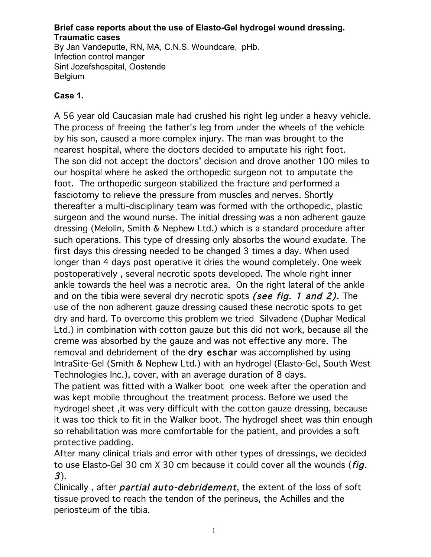#### **Brief case reports about the use of Elasto-Gel hydrogel wound dressing. Traumatic cases** By Jan Vandeputte, RN, MA, C.N.S. Woundcare, pHb.

Infection control manger Sint Jozefshospital, Oostende Belgium

## **Case 1.**

A 56 year old Caucasian male had crushed his right leg under a heavy vehicle. The process of freeing the father's leg from under the wheels of the vehicle by his son, caused a more complex injury. The man was brought to the nearest hospital, where the doctors decided to amputate his right foot. The son did not accept the doctors' decision and drove another 100 miles to our hospital where he asked the orthopedic surgeon not to amputate the foot. The orthopedic surgeon stabilized the fracture and performed a fasciotomy to relieve the pressure from muscles and nerves. Shortly thereafter a multi-disciplinary team was formed with the orthopedic, plastic surgeon and the wound nurse. The initial dressing was a non adherent gauze dressing (Melolin, Smith & Nephew Ltd.) which is a standard procedure after such operations. This type of dressing only absorbs the wound exudate. The first days this dressing needed to be changed 3 times a day. When used longer than 4 days post operative it dries the wound completely. One week postoperatively , several necrotic spots developed. The whole right inner ankle towards the heel was a necrotic area. On the right lateral of the ankle and on the tibia were several dry necrotic spots (see fig. 1 and 2). The use of the non adherent gauze dressing caused these necrotic spots to get dry and hard. To overcome this problem we tried Silvadene (Duphar Medical Ltd.) in combination with cotton gauze but this did not work, because all the creme was absorbed by the gauze and was not effective any more. The removal and debridement of the dry eschar was accomplished by using IntraSite-Gel (Smith & Nephew Ltd.) with an hydrogel (Elasto-Gel, South West Technologies Inc.), cover, with an average duration of 8 days.

The patient was fitted with a Walker boot one week after the operation and was kept mobile throughout the treatment process. Before we used the hydrogel sheet ,it was very difficult with the cotton gauze dressing, because it was too thick to fit in the Walker boot. The hydrogel sheet was thin enough so rehabilitation was more comfortable for the patient, and provides a soft protective padding.

After many clinical trials and error with other types of dressings, we decided to use Elasto-Gel 30 cm X 30 cm because it could cover all the wounds (*fig.* 3).

Clinically, after *partial auto-debridement*, the extent of the loss of soft tissue proved to reach the tendon of the perineus, the Achilles and the periosteum of the tibia.

1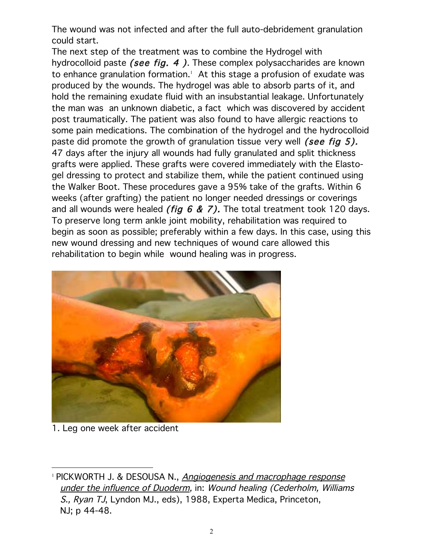The wound was not infected and after the full auto-debridement granulation could start.

The next step of the treatment was to combine the Hydrogel with hydrocolloid paste (see fig.  $4$ ). These complex polysaccharides are known to enhance granulation formation. $^{\scriptscriptstyle 1}$  At this stage a profusion of exudate was produced by the wounds. The hydrogel was able to absorb parts of it, and hold the remaining exudate fluid with an insubstantial leakage. Unfortunately the man was an unknown diabetic, a fact which was discovered by accident post traumatically. The patient was also found to have allergic reactions to some pain medications. The combination of the hydrogel and the hydrocolloid paste did promote the growth of granulation tissue very well (see fig 5). 47 days after the injury all wounds had fully granulated and split thickness grafts were applied. These grafts were covered immediately with the Elastogel dressing to protect and stabilize them, while the patient continued using the Walker Boot. These procedures gave a 95% take of the grafts. Within 6 weeks (after grafting) the patient no longer needed dressings or coverings and all wounds were healed *(fig 6 & 7)*. The total treatment took 120 days. To preserve long term ankle joint mobility, rehabilitation was required to begin as soon as possible; preferably within a few days. In this case, using this new wound dressing and new techniques of wound care allowed this rehabilitation to begin while wound healing was in progress.



1. Leg one week after accident

 $\overline{a}$ 

<sup>&</sup>lt;sup>1</sup> PICKWORTH J. & DESOUSA N., Angiogenesis and macrophage response under the influence of Duoderm, in: Wound healing (Cederholm, Williams S., Ryan TJ, Lyndon MJ., eds), 1988, Experta Medica, Princeton, NJ; p 44-48.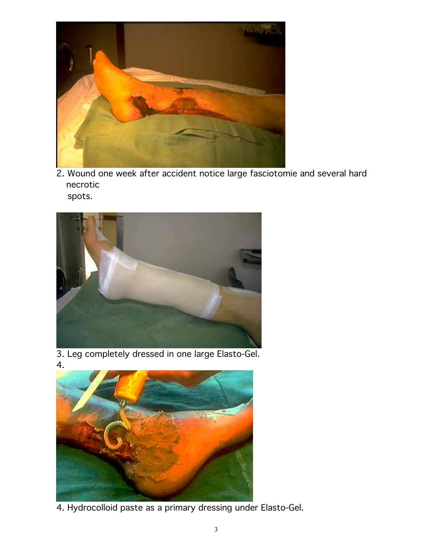

2. Wound one week after accident notice large fasciotomie and several hard necrotic spots.



3. Leg completely dressed in one large Elasto-Gel. 4.



4. Hydrocolloid paste as a primary dressing under Elasto-Gel.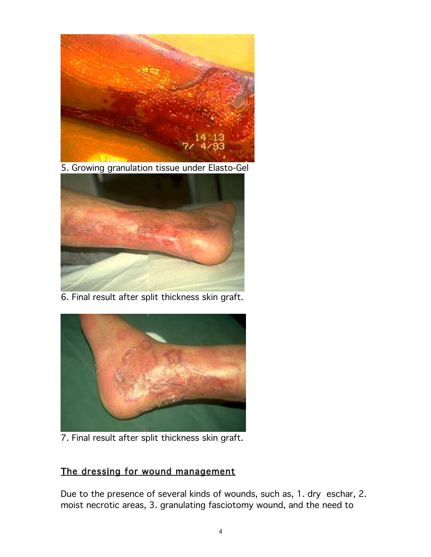

5. Growing granulation tissue under Elasto-Gel



6. Final result after split thickness skin graft.



7. Final result after split thickness skin graft.

# The dressing for wound management

Due to the presence of several kinds of wounds, such as, 1. dry eschar, 2. moist necrotic areas, 3. granulating fasciotomy wound, and the need to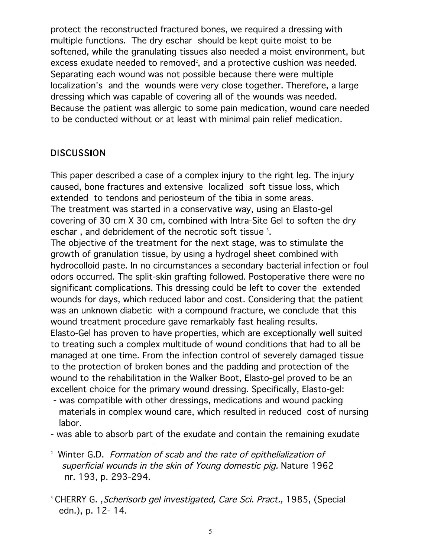protect the reconstructed fractured bones, we required a dressing with multiple functions. The dry eschar should be kept quite moist to be softened, while the granulating tissues also needed a moist environment, but excess exudate needed to removed $^{\scriptscriptstyle 2}$ , and a protective cushion was needed. Separating each wound was not possible because there were multiple localization's and the wounds were very close together. Therefore, a large dressing which was capable of covering all of the wounds was needed. Because the patient was allergic to some pain medication, wound care needed to be conducted without or at least with minimal pain relief medication.

# **DISCUSSION**

This paper described a case of a complex injury to the right leg. The injury caused, bone fractures and extensive localized soft tissue loss, which extended to tendons and periosteum of the tibia in some areas. The treatment was started in a conservative way, using an Elasto-gel covering of 30 cm X 30 cm, combined with Intra-Site Gel to soften the dry eschar , and debridement of the necrotic soft tissue  $^3$ .

The objective of the treatment for the next stage, was to stimulate the growth of granulation tissue, by using a hydrogel sheet combined with hydrocolloid paste. In no circumstances a secondary bacterial infection or foul odors occurred. The split-skin grafting followed. Postoperative there were no significant complications. This dressing could be left to cover the extended wounds for days, which reduced labor and cost. Considering that the patient was an unknown diabetic with a compound fracture, we conclude that this wound treatment procedure gave remarkably fast healing results. Elasto-Gel has proven to have properties, which are exceptionally well suited

to treating such a complex multitude of wound conditions that had to all be managed at one time. From the infection control of severely damaged tissue to the protection of broken bones and the padding and protection of the wound to the rehabilitation in the Walker Boot, Elasto-gel proved to be an excellent choice for the primary wound dressing. Specifically, Elasto-gel:

- was compatible with other dressings, medications and wound packing materials in complex wound care, which resulted in reduced cost of nursing labor.
- was able to absorb part of the exudate and contain the remaining exudate
- -<sup>2</sup> Winter G.D. Formation of scab and the rate of epithelialization of superficial wounds in the skin of Young domestic pig. Nature 1962 nr. 193, p. 293-294.
- <sup>3</sup> CHERRY G. , Scherisorb gel investigated, Care Sci. Pract., 1985, (Special edn.), p. 12- 14.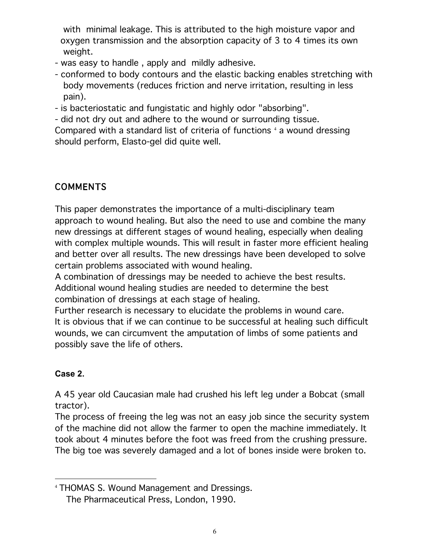with minimal leakage. This is attributed to the high moisture vapor and oxygen transmission and the absorption capacity of 3 to 4 times its own weight.

- was easy to handle , apply and mildly adhesive.
- conformed to body contours and the elastic backing enables stretching with body movements (reduces friction and nerve irritation, resulting in less pain).

- is bacteriostatic and fungistatic and highly odor "absorbing".

- did not dry out and adhere to the wound or surrounding tissue.

Compared with a standard list of criteria of functions  $^{\text{4}}$  a wound dressing should perform, Elasto-gel did quite well.

# COMMENTS

This paper demonstrates the importance of a multi-disciplinary team approach to wound healing. But also the need to use and combine the many new dressings at different stages of wound healing, especially when dealing with complex multiple wounds. This will result in faster more efficient healing and better over all results. The new dressings have been developed to solve certain problems associated with wound healing.

A combination of dressings may be needed to achieve the best results. Additional wound healing studies are needed to determine the best combination of dressings at each stage of healing.

Further research is necessary to elucidate the problems in wound care. It is obvious that if we can continue to be successful at healing such difficult wounds, we can circumvent the amputation of limbs of some patients and possibly save the life of others.

# **Case 2.**

A 45 year old Caucasian male had crushed his left leg under a Bobcat (small tractor).

The process of freeing the leg was not an easy job since the security system of the machine did not allow the farmer to open the machine immediately. It took about 4 minutes before the foot was freed from the crushing pressure. The big toe was severely damaged and a lot of bones inside were broken to.

 $\overline{a}$ <sup>4</sup> THOMAS S. Wound Management and Dressings. The Pharmaceutical Press, London, 1990.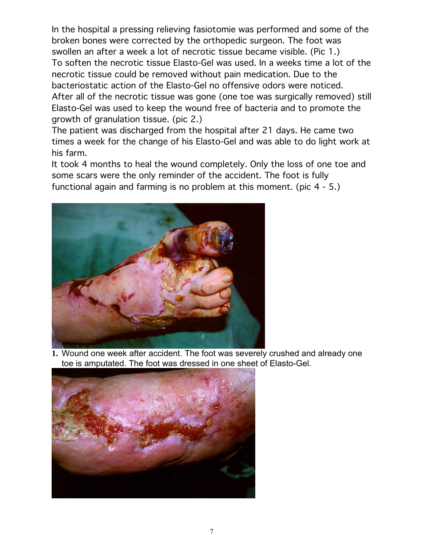In the hospital a pressing relieving fasiotomie was performed and some of the broken bones were corrected by the orthopedic surgeon. The foot was swollen an after a week a lot of necrotic tissue became visible. (Pic 1.) To soften the necrotic tissue Elasto-Gel was used. In a weeks time a lot of the necrotic tissue could be removed without pain medication. Due to the bacteriostatic action of the Elasto-Gel no offensive odors were noticed. After all of the necrotic tissue was gone (one toe was surgically removed) still Elasto-Gel was used to keep the wound free of bacteria and to promote the growth of granulation tissue. (pic 2.)

The patient was discharged from the hospital after 21 days. He came two times a week for the change of his Elasto-Gel and was able to do light work at his farm.

It took 4 months to heal the wound completely. Only the loss of one toe and some scars were the only reminder of the accident. The foot is fully functional again and farming is no problem at this moment. (pic 4 - 5.)



**1.** Wound one week after accident. The foot was severely crushed and already one toe is amputated. The foot was dressed in one sheet of Elasto-Gel.

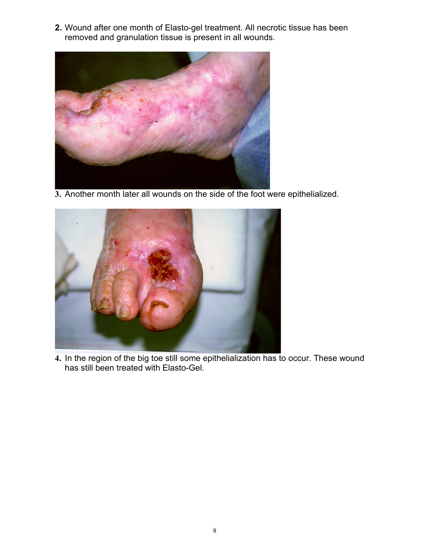**2.** Wound after one month of Elasto-gel treatment. All necrotic tissue has been removed and granulation tissue is present in all wounds.



**3.** Another month later all wounds on the side of the foot were epithelialized.



**4.** In the region of the big toe still some epithelialization has to occur. These wound has still been treated with Elasto-Gel.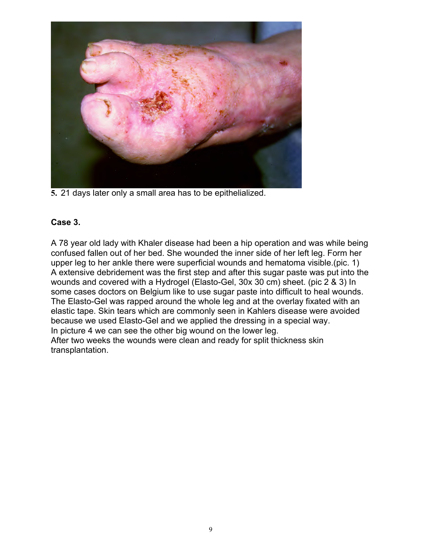

**5.** 21 days later only a small area has to be epithelialized.

#### **Case 3.**

A 78 year old lady with Khaler disease had been a hip operation and was while being confused fallen out of her bed. She wounded the inner side of her left leg. Form her upper leg to her ankle there were superficial wounds and hematoma visible.(pic. 1) A extensive debridement was the first step and after this sugar paste was put into the wounds and covered with a Hydrogel (Elasto-Gel, 30x 30 cm) sheet. (pic 2 & 3) In some cases doctors on Belgium like to use sugar paste into difficult to heal wounds. The Elasto-Gel was rapped around the whole leg and at the overlay fixated with an elastic tape. Skin tears which are commonly seen in Kahlers disease were avoided because we used Elasto-Gel and we applied the dressing in a special way. In picture 4 we can see the other big wound on the lower leg. After two weeks the wounds were clean and ready for split thickness skin transplantation.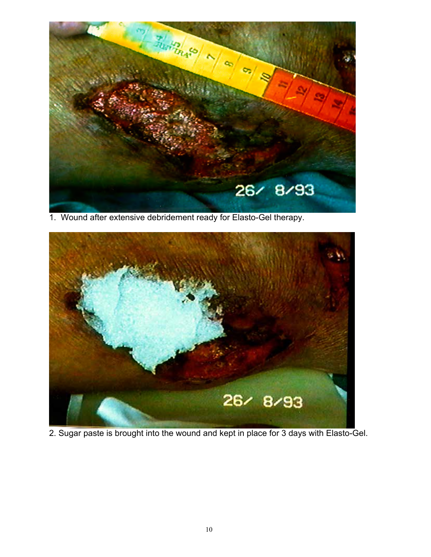

1. Wound after extensive debridement ready for Elasto-Gel therapy.



2. Sugar paste is brought into the wound and kept in place for 3 days with Elasto-Gel.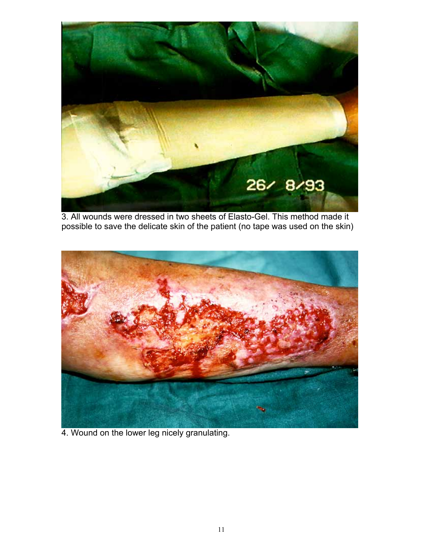

3. All wounds were dressed in two sheets of Elasto-Gel. This method made it possible to save the delicate skin of the patient (no tape was used on the skin)



4. Wound on the lower leg nicely granulating.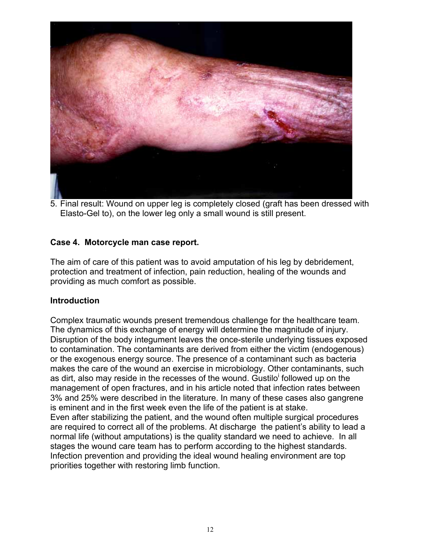

5. Final result: Wound on upper leg is completely closed (graft has been dressed with Elasto-Gel to), on the lower leg only a small wound is still present.

#### **Case 4. Motorcycle man case report.**

The aim of care of this patient was to avoid amputation of his leg by debridement, protection and treatment of infection, pain reduction, healing of the wounds and providing as much comfort as possible.

#### **Introduction**

Complex traumatic wounds present tremendous challenge for the healthcare team. The dynamics of this exchange of energy will determine the magnitude of injury. Disruption of the body integument leaves the once-sterile underlying tissues exposed to contamination. The contaminants are derived from either the victim (endogenous) or the exogenous energy source. The presence of a contaminant such as bacteria makes the care of the wound an exercise in microbiology. Other contaminants, such as dirt, also may reside in the recesses of the wound. Gustilo<sup>i</sup> followed up on the management of open fractures, and in his article noted that infection rates between 3% and 25% were described in the literature. In many of these cases also gangrene is eminent and in the first week even the life of the patient is at stake. Even after stabilizing the patient, and the wound often multiple surgical procedures are required to correct all of the problems. At discharge the patient's ability to lead a normal life (without amputations) is the quality standard we need to achieve. In all stages the wound care team has to perform according to the highest standards. Infection prevention and providing the ideal wound healing environment are top priorities together with restoring limb function.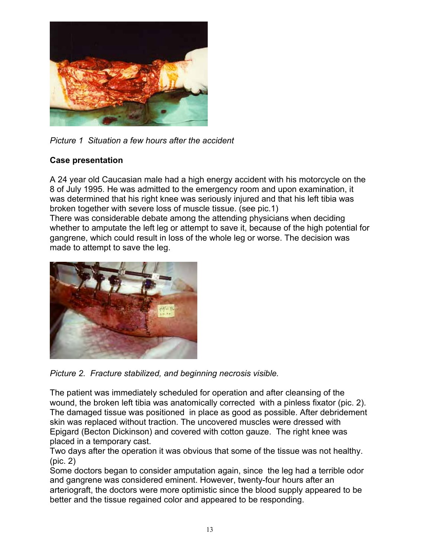

*Picture 1 Situation a few hours after the accident*

## **Case presentation**

A 24 year old Caucasian male had a high energy accident with his motorcycle on the 8 of July 1995. He was admitted to the emergency room and upon examination, it was determined that his right knee was seriously injured and that his left tibia was broken together with severe loss of muscle tissue. (see pic.1)

There was considerable debate among the attending physicians when deciding whether to amputate the left leg or attempt to save it, because of the high potential for gangrene, which could result in loss of the whole leg or worse. The decision was made to attempt to save the leg.



*Picture 2. Fracture stabilized, and beginning necrosis visible.*

The patient was immediately scheduled for operation and after cleansing of the wound, the broken left tibia was anatomically corrected with a pinless fixator (pic. 2). The damaged tissue was positioned in place as good as possible. After debridement skin was replaced without traction. The uncovered muscles were dressed with Epigard (Becton Dickinson) and covered with cotton gauze. The right knee was placed in a temporary cast.

Two days after the operation it was obvious that some of the tissue was not healthy. (pic. 2)

Some doctors began to consider amputation again, since the leg had a terrible odor and gangrene was considered eminent. However, twenty-four hours after an arteriograft, the doctors were more optimistic since the blood supply appeared to be better and the tissue regained color and appeared to be responding.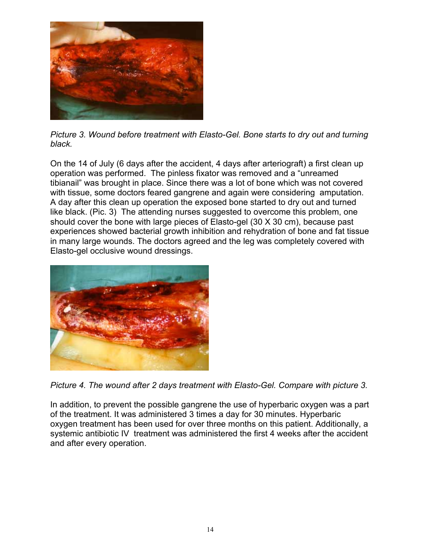

*Picture 3. Wound before treatment with Elasto-Gel. Bone starts to dry out and turning black.*

On the 14 of July (6 days after the accident, 4 days after arteriograft) a first clean up operation was performed. The pinless fixator was removed and a "unreamed tibianail" was brought in place. Since there was a lot of bone which was not covered with tissue, some doctors feared gangrene and again were considering amputation. A day after this clean up operation the exposed bone started to dry out and turned like black. (Pic. 3) The attending nurses suggested to overcome this problem, one should cover the bone with large pieces of Elasto-gel (30 X 30 cm), because past experiences showed bacterial growth inhibition and rehydration of bone and fat tissue in many large wounds. The doctors agreed and the leg was completely covered with Elasto-gel occlusive wound dressings.



*Picture 4. The wound after 2 days treatment with Elasto-Gel. Compare with picture 3.* 

In addition, to prevent the possible gangrene the use of hyperbaric oxygen was a part of the treatment. It was administered 3 times a day for 30 minutes. Hyperbaric oxygen treatment has been used for over three months on this patient. Additionally, a systemic antibiotic IV treatment was administered the first 4 weeks after the accident and after every operation.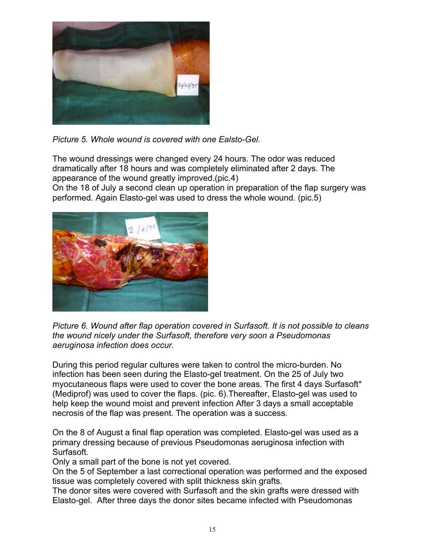

*Picture 5. Whole wound is covered with one Ealsto-Gel.* 

The wound dressings were changed every 24 hours. The odor was reduced dramatically after 18 hours and was completely eliminated after 2 days. The appearance of the wound greatly improved.(pic.4)

On the 18 of July a second clean up operation in preparation of the flap surgery was performed. Again Elasto-gel was used to dress the whole wound. (pic.5)



*Picture 6. Wound after flap operation covered in Surfasoft. It is not possible to cleans the wound nicely under the Surfasoft, therefore very soon a Pseudomonas aeruginosa infection does occur.*

During this period regular cultures were taken to control the micro-burden. No infection has been seen during the Elasto-gel treatment. On the 25 of July two myocutaneous flaps were used to cover the bone areas. The first 4 days Surfasoft\* (Mediprof) was used to cover the flaps. (pic. 6).Thereafter, Elasto-gel was used to help keep the wound moist and prevent infection After 3 days a small acceptable necrosis of the flap was present. The operation was a success.

On the 8 of August a final flap operation was completed. Elasto-gel was used as a primary dressing because of previous Pseudomonas aeruginosa infection with Surfasoft.

Only a small part of the bone is not yet covered.

On the 5 of September a last correctional operation was performed and the exposed tissue was completely covered with split thickness skin grafts.

The donor sites were covered with Surfasoft and the skin grafts were dressed with Elasto-gel. After three days the donor sites became infected with Pseudomonas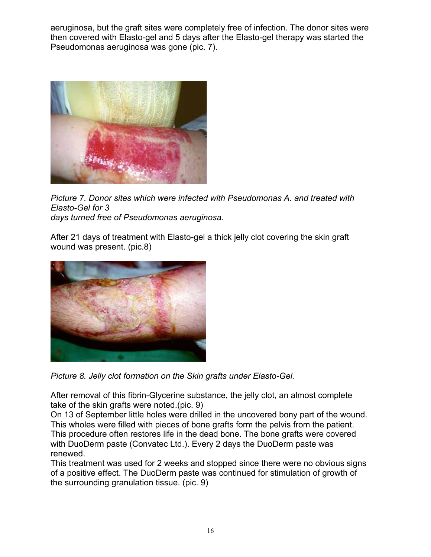aeruginosa, but the graft sites were completely free of infection. The donor sites were then covered with Elasto-gel and 5 days after the Elasto-gel therapy was started the Pseudomonas aeruginosa was gone (pic. 7).



*Picture 7. Donor sites which were infected with Pseudomonas A. and treated with Elasto-Gel for 3 days turned free of Pseudomonas aeruginosa.* 

After 21 days of treatment with Elasto-gel a thick jelly clot covering the skin graft wound was present. (pic.8)



*Picture 8. Jelly clot formation on the Skin grafts under Elasto-Gel.*

After removal of this fibrin-Glycerine substance, the jelly clot, an almost complete take of the skin grafts were noted.(pic. 9)

On 13 of September little holes were drilled in the uncovered bony part of the wound. This wholes were filled with pieces of bone grafts form the pelvis from the patient. This procedure often restores life in the dead bone. The bone grafts were covered with DuoDerm paste (Convatec Ltd.). Every 2 days the DuoDerm paste was renewed.

This treatment was used for 2 weeks and stopped since there were no obvious signs of a positive effect. The DuoDerm paste was continued for stimulation of growth of the surrounding granulation tissue. (pic. 9)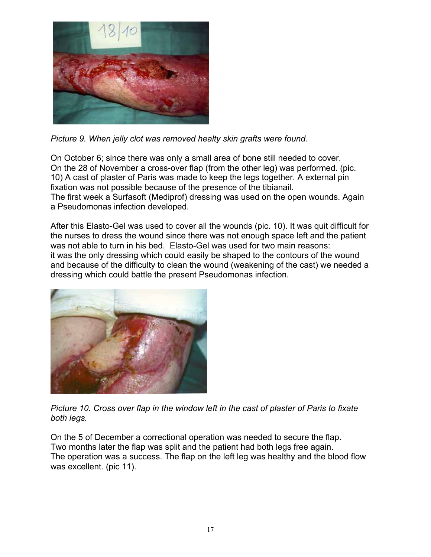

*Picture 9. When jelly clot was removed healty skin grafts were found.*

On October 6; since there was only a small area of bone still needed to cover. On the 28 of November a cross-over flap (from the other leg) was performed. (pic. 10) A cast of plaster of Paris was made to keep the legs together. A external pin fixation was not possible because of the presence of the tibianail. The first week a Surfasoft (Mediprof) dressing was used on the open wounds. Again a Pseudomonas infection developed.

After this Elasto-Gel was used to cover all the wounds (pic. 10). It was quit difficult for the nurses to dress the wound since there was not enough space left and the patient was not able to turn in his bed. Elasto-Gel was used for two main reasons: it was the only dressing which could easily be shaped to the contours of the wound and because of the difficulty to clean the wound (weakening of the cast) we needed a dressing which could battle the present Pseudomonas infection.



*Picture 10. Cross over flap in the window left in the cast of plaster of Paris to fixate both legs.*

On the 5 of December a correctional operation was needed to secure the flap. Two months later the flap was split and the patient had both legs free again. The operation was a success. The flap on the left leg was healthy and the blood flow was excellent. (pic 11).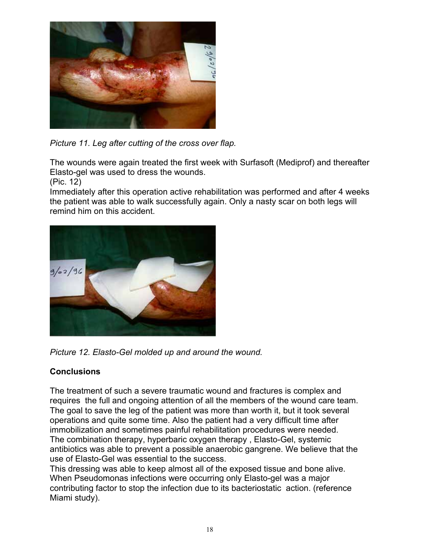

*Picture 11. Leg after cutting of the cross over flap.* 

The wounds were again treated the first week with Surfasoft (Mediprof) and thereafter Elasto-gel was used to dress the wounds.

(Pic. 12)

Immediately after this operation active rehabilitation was performed and after 4 weeks the patient was able to walk successfully again. Only a nasty scar on both legs will remind him on this accident.





## **Conclusions**

The treatment of such a severe traumatic wound and fractures is complex and requires the full and ongoing attention of all the members of the wound care team. The goal to save the leg of the patient was more than worth it, but it took several operations and quite some time. Also the patient had a very difficult time after immobilization and sometimes painful rehabilitation procedures were needed. The combination therapy, hyperbaric oxygen therapy , Elasto-Gel, systemic antibiotics was able to prevent a possible anaerobic gangrene. We believe that the use of Elasto-Gel was essential to the success.

This dressing was able to keep almost all of the exposed tissue and bone alive. When Pseudomonas infections were occurring only Elasto-gel was a major contributing factor to stop the infection due to its bacteriostatic action. (reference Miami study).